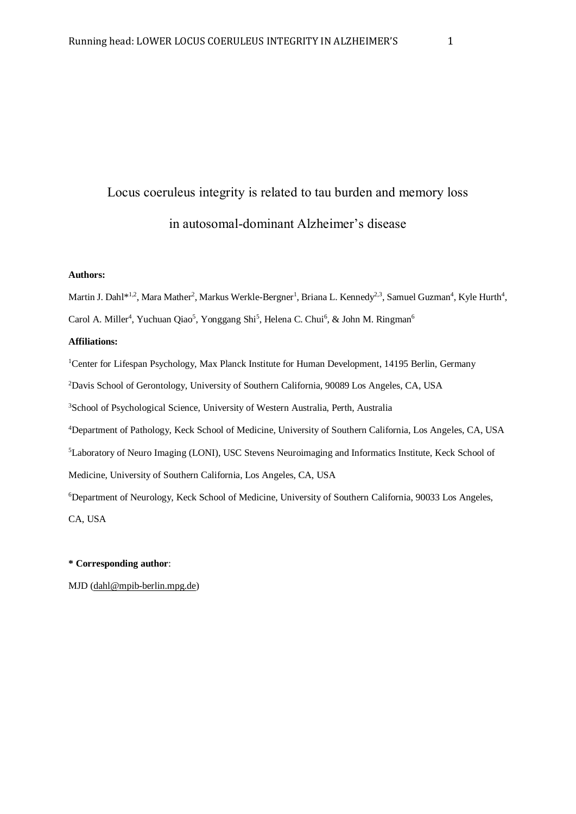# Locus coeruleus integrity is related to tau burden and memory loss in autosomal-dominant Alzheimer's disease

### **Authors:**

Martin J. Dahl\*<sup>1,2</sup>, Mara Mather<sup>2</sup>, Markus Werkle-Bergner<sup>1</sup>, Briana L. Kennedy<sup>2,3</sup>, Samuel Guzman<sup>4</sup>, Kyle Hurth<sup>4</sup>, Carol A. Miller<sup>4</sup>, Yuchuan Qiao<sup>5</sup>, Yonggang Shi<sup>5</sup>, Helena C. Chui<sup>6</sup>, & John M. Ringman<sup>6</sup>

#### **Affiliations:**

<sup>1</sup>Center for Lifespan Psychology, Max Planck Institute for Human Development, 14195 Berlin, Germany <sup>2</sup>Davis School of Gerontology, University of Southern California, 90089 Los Angeles, CA, USA <sup>3</sup>School of Psychological Science, University of Western Australia, Perth, Australia <sup>4</sup>Department of Pathology, Keck School of Medicine, University of Southern California, Los Angeles, CA, USA <sup>5</sup>Laboratory of Neuro Imaging (LONI), USC Stevens Neuroimaging and Informatics Institute, Keck School of Medicine, University of Southern California, Los Angeles, CA, USA <sup>6</sup>Department of Neurology, Keck School of Medicine, University of Southern California, 90033 Los Angeles, CA, USA

#### **\* Corresponding author**:

MJD [\(dahl@mpib-berlin.mpg.de\)](mailto:dahl@mpib-berlin.mpg.de)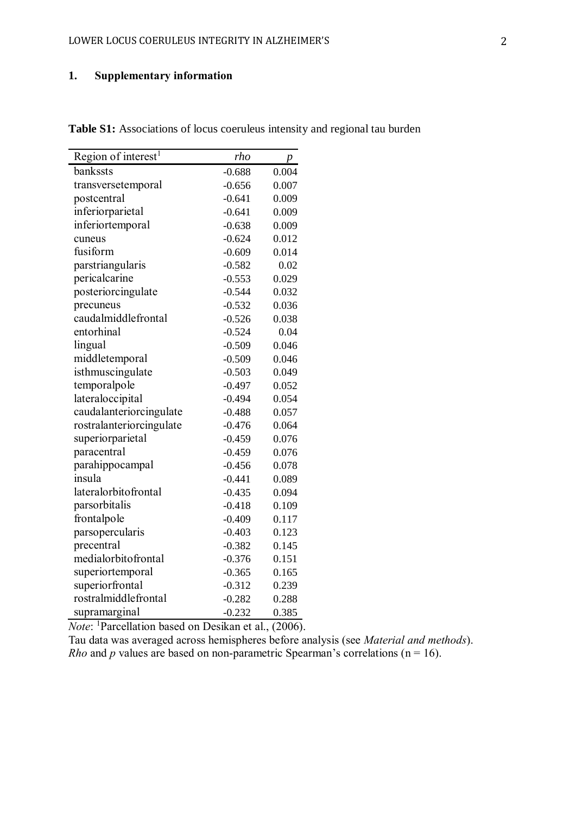# **1. Supplementary information**

| Region of interest <sup>1</sup> | rho      | $\overline{p}$ |
|---------------------------------|----------|----------------|
| bankssts                        | $-0.688$ | 0.004          |
| transversetemporal              | $-0.656$ | 0.007          |
| postcentral                     | $-0.641$ | 0.009          |
| inferiorparietal                | $-0.641$ | 0.009          |
| inferiortemporal                | $-0.638$ | 0.009          |
| cuneus                          | $-0.624$ | 0.012          |
| fusiform                        | $-0.609$ | 0.014          |
| parstriangularis                | $-0.582$ | 0.02           |
| pericalcarine                   | $-0.553$ | 0.029          |
| posteriorcingulate              | $-0.544$ | 0.032          |
| precuneus                       | $-0.532$ | 0.036          |
| caudalmiddlefrontal             | $-0.526$ | 0.038          |
| entorhinal                      | $-0.524$ | 0.04           |
| lingual                         | $-0.509$ | 0.046          |
| middletemporal                  | $-0.509$ | 0.046          |
| isthmuscingulate                | $-0.503$ | 0.049          |
| temporalpole                    | $-0.497$ | 0.052          |
| lateraloccipital                | $-0.494$ | 0.054          |
| caudalanteriorcingulate         | $-0.488$ | 0.057          |
| rostralanteriorcingulate        | $-0.476$ | 0.064          |
| superiorparietal                | $-0.459$ | 0.076          |
| paracentral                     | $-0.459$ | 0.076          |
| parahippocampal                 | $-0.456$ | 0.078          |
| insula                          | $-0.441$ | 0.089          |
| lateralorbitofrontal            | $-0.435$ | 0.094          |
| parsorbitalis                   | $-0.418$ | 0.109          |
| frontalpole                     | $-0.409$ | 0.117          |
| parsopercularis                 | $-0.403$ | 0.123          |
| precentral                      | $-0.382$ | 0.145          |
| medialorbitofrontal             | $-0.376$ | 0.151          |
| superiortemporal                | $-0.365$ | 0.165          |
| superiorfrontal                 | $-0.312$ | 0.239          |
| rostralmiddlefrontal            | $-0.282$ | 0.288          |
| supramarginal                   | $-0.232$ | 0.385          |

**Table S1:** Associations of locus coeruleus intensity and regional tau burden

*Note*: <sup>1</sup>Parcellation based on Desikan et al., (2006).

Tau data was averaged across hemispheres before analysis (see *Material and methods*). *Rho* and *p* values are based on non-parametric Spearman's correlations ( $n = 16$ ).